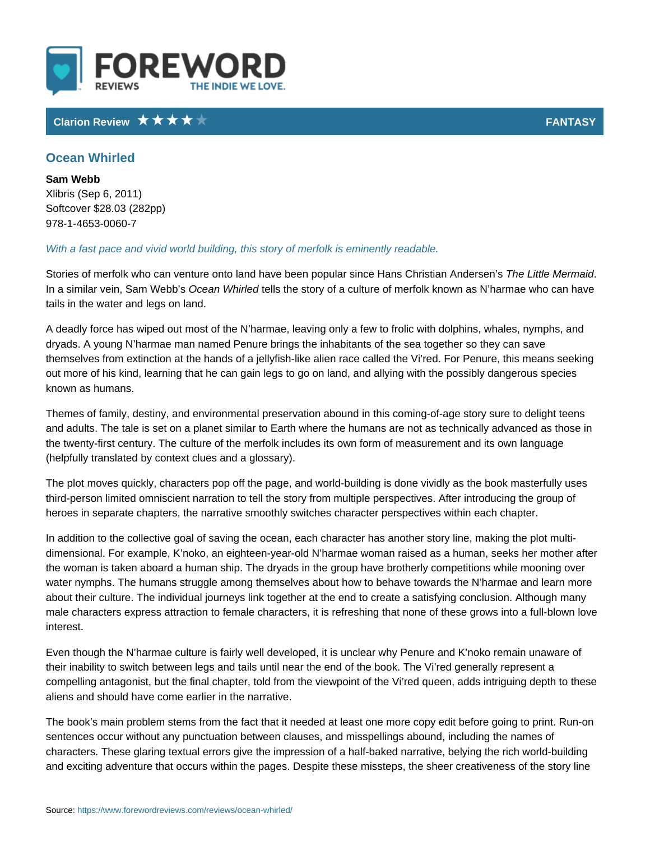# Clarion Review **FANTA**S

## Ocean Whirled

Sam Webb Xlibris (Sep 6, 2011) Softcover \$28.03 (282pp) 978-1-4653-0060-7

#### With a fast pace and vivid world building, this story of merfolk is eminently rea

Stories of merfolk who can venture onto land have been populare slint the HMaenrsm 6 indr In a similar vein, SCal**one & Vhe bVoh isreleids** the story of a culture of merfolk known as N l tails in the water and legs on land.

A deadly force has wiped out most of the N harmae, leaving only a few to frolic dryads. A young N harmae man named Penure brings the inhabitants of the sea themselves from extinction at the hands of a jellyfish-like alien race called the out more of his kind, learning that he can gain legs to go on land, and allying v known as humans.

Themes of family, destiny, and environmental preservation abound in this comir and adults. The tale is set on a planet similar to Earth where the humans are n the twenty-first century. The culture of the merfolk includes its own form of me (helpfully translated by context clues and a glossary).

The plot moves quickly, characters pop off the page, and world-building is done third-person limited omniscient narration to tell the story from multiple perspec heroes in separate chapters, the narrative smoothly switches character perspec

In addition to the collective goal of saving the ocean, each character has anoth dimensional. For example, K noko, an eighteen-year-old N harmae woman raised the woman is taken aboard a human ship. The dryads in the group have brotherl water nymphs. The humans struggle among themselves about how to behave tow about their culture. The individual journeys link together at the end to create a male characters express attraction to female characters, it is refreshing that no interest.

Even though the N harmae culture is fairly well developed, it is unclear why Pe their inability to switch between legs and tails until near the end of the book. T compelling antagonist, but the final chapter, told from the viewpoint of the Vi r aliens and should have come earlier in the narrative.

The book s main problem stems from the fact that it needed at least one more c sentences occur without any punctuation between clauses, and misspellings abound. characters. These glaring textual errors give the impression of a half-baked na and exciting adventure that occurs within the pages. Despite these missteps, th